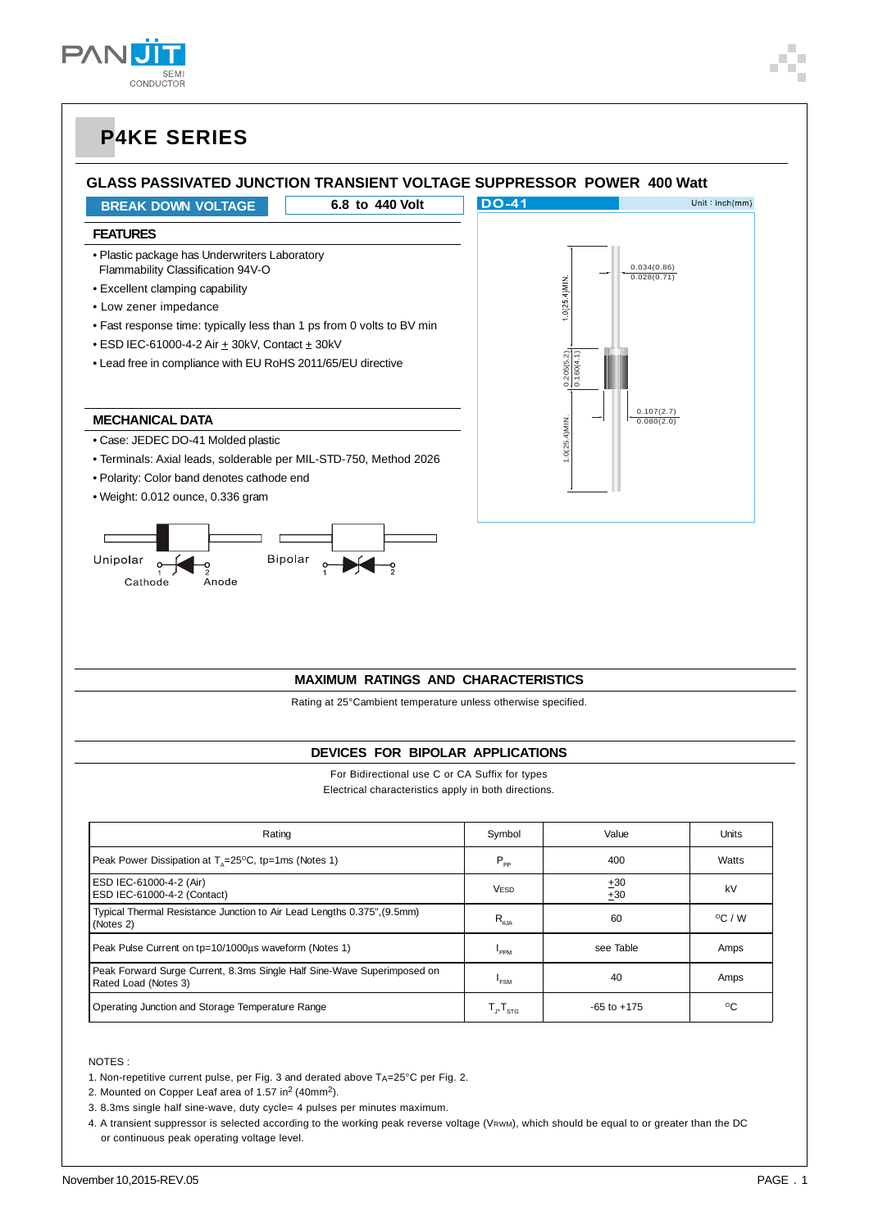

#### **GLASS PASSIVATED JUNCTION TRANSIENT VOLTAGE SUPPRESSOR POWER 400 Watt**

**BREAK DOWN VOLTAGE 6.8 to 440 Volt**

#### **FEATURES**

• Plastic package has Underwriters Laboratory Flammability Classification 94V-O

- Excellent clamping capability
- Low zener impedance
- Fast response time: typically less than 1 ps from 0 volts to BV min
- $\bullet$  ESD IEC-61000-4-2 Air  $\pm$  30kV, Contact  $\pm$  30kV
- Lead free in compliance with EU RoHS 2011/65/EU directive

#### **MECHANICAL DATA**

- Case: JEDEC DO-41 Molded plastic
- Terminals: Axial leads, solderable per MIL-STD-750, Method 2026
- Polarity: Color band denotes cathode end
- Weight: 0.012 ounce, 0.336 gram





#### **MAXIMUM RATINGS AND CHARACTERISTICS**

Rating at 25°Cambient temperature unless otherwise specified.

#### **DEVICES FOR BIPOLAR APPLICATIONS**

For Bidirectional use C or CA Suffix for types Electrical characteristics apply in both directions.

| Rating                                                                                          | Symbol                                                                                     | Value           | Units            |
|-------------------------------------------------------------------------------------------------|--------------------------------------------------------------------------------------------|-----------------|------------------|
| Peak Power Dissipation at $T_a = 25^{\circ}C$ , tp=1ms (Notes 1)                                | $P_{\rm pp}$                                                                               | 400             | Watts            |
| ESD IEC-61000-4-2 (Air)<br>ESD IEC-61000-4-2 (Contact)                                          | <b>VESD</b>                                                                                | ±30<br>±30      | kV               |
| Typical Thermal Resistance Junction to Air Lead Lengths 0.375", (9.5mm)<br>(Notes 2)            | $R_{\rm aia}$                                                                              | 60              | $^{\circ}$ C / W |
| Peak Pulse Current on tp=10/1000us waveform (Notes 1)                                           | PPM                                                                                        | see Table       | Amps             |
| Peak Forward Surge Current, 8.3ms Single Half Sine-Wave Superimposed on<br>Rated Load (Notes 3) | <b>FSM</b>                                                                                 | 40              | Amps             |
| Operating Junction and Storage Temperature Range                                                | $\mathsf{T}_{\scriptscriptstyle \mathsf{J}}, \mathsf{T}_{\scriptscriptstyle \mathsf{STG}}$ | $-65$ to $+175$ | °C               |

NOTES :

1. Non-repetitive current pulse, per Fig. 3 and derated above  $T_A = 25^{\circ}C$  per Fig. 2.

2. Mounted on Copper Leaf area of 1.57 in<sup>2</sup> (40mm<sup>2</sup>).

3. 8.3ms single half sine-wave, duty cycle= 4 pulses per minutes maximum.

4. A transient suppressor is selected according to the working peak reverse voltage (VRWM), which should be equal to or greater than the DC or continuous peak operating voltage level.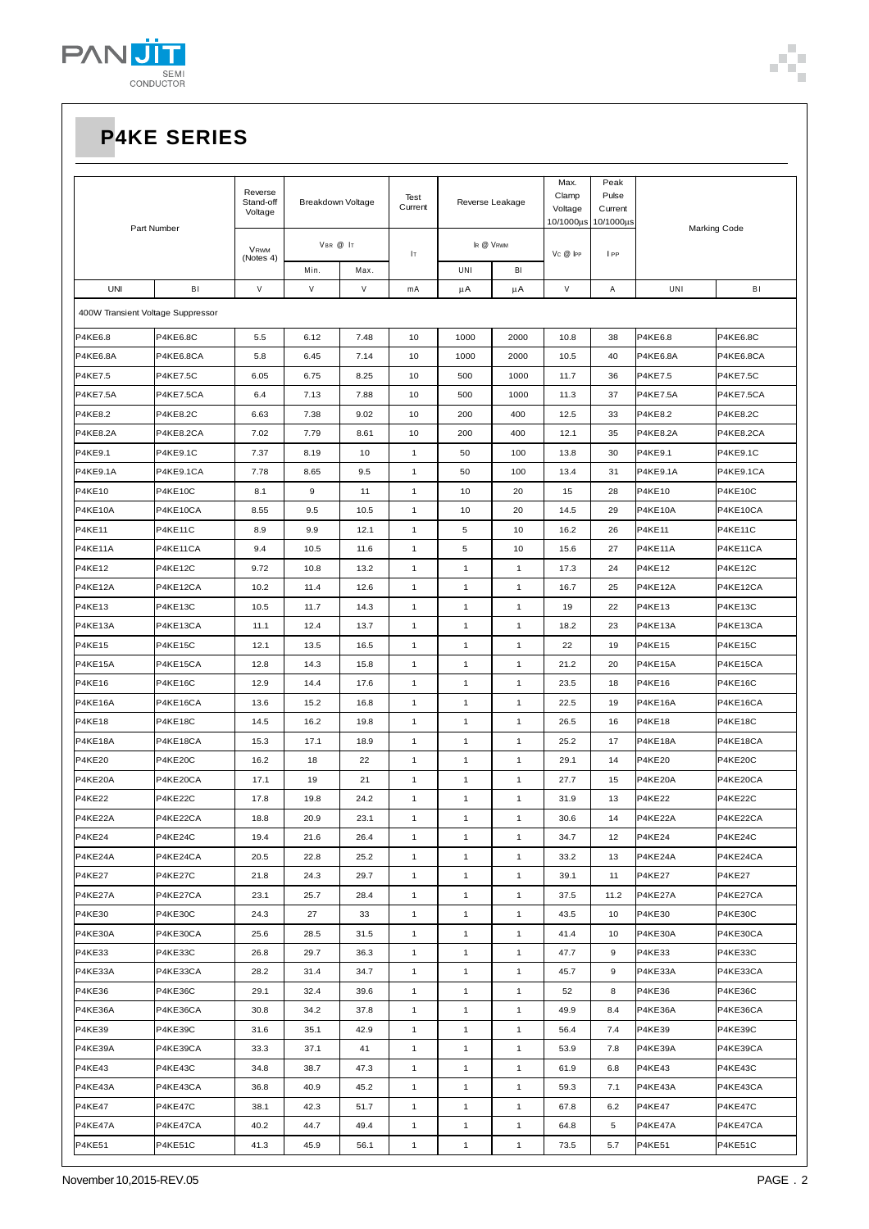

| Peak<br>Max.                      |                 |                      |                   |      |                 |                 |              |                  |                  |                 |                     |
|-----------------------------------|-----------------|----------------------|-------------------|------|-----------------|-----------------|--------------|------------------|------------------|-----------------|---------------------|
| Part Number                       |                 | Reverse<br>Stand-off | Breakdown Voltage |      | Test<br>Current | Reverse Leakage |              | Clamp<br>Voltage | Pulse<br>Current |                 |                     |
|                                   |                 | Voltage              |                   |      |                 |                 |              | 10/1000µs        | 10/1000µs        |                 | <b>Marking Code</b> |
|                                   |                 | VRWM<br>(Notes 4)    | VBR @ IT          |      |                 | IR @ VRWM       |              |                  |                  |                 |                     |
|                                   |                 |                      | Min.              | Max. | Iт              | UNI             | BI           | $V_C @$ $ PP$    | I PP             |                 |                     |
| <b>UNI</b>                        | BI              | $\vee$               | V                 | V    | mA              | μA              | μA           | V                | Α                | UNI             | BI                  |
| 400W Transient Voltage Suppressor |                 |                      |                   |      |                 |                 |              |                  |                  |                 |                     |
|                                   |                 |                      |                   |      |                 |                 |              |                  |                  |                 |                     |
| P4KE6.8                           | <b>P4KE6.8C</b> | 5.5                  | 6.12              | 7.48 | 10              | 1000            | 2000         | 10.8             | 38               | P4KE6.8         | <b>P4KE6.8C</b>     |
| <b>P4KE6.8A</b>                   | P4KE6.8CA       | 5.8                  | 6.45              | 7.14 | 10              | 1000            | 2000         | 10.5             | 40               | <b>P4KE6.8A</b> | P4KE6.8CA           |
| P4KE7.5                           | <b>P4KE7.5C</b> | 6.05                 | 6.75              | 8.25 | 10              | 500             | 1000         | 11.7             | 36               | P4KE7.5         | <b>P4KE7.5C</b>     |
| <b>P4KE7.5A</b>                   | P4KE7.5CA       | 6.4                  | 7.13              | 7.88 | 10              | 500             | 1000         | 11.3             | 37               | <b>P4KE7.5A</b> | P4KE7.5CA           |
| P4KE8.2                           | <b>P4KE8.2C</b> | 6.63                 | 7.38              | 9.02 | 10              | 200             | 400          | 12.5             | 33               | P4KE8.2         | <b>P4KE8.2C</b>     |
| <b>P4KE8.2A</b>                   | P4KE8.2CA       | 7.02                 | 7.79              | 8.61 | 10              | 200             | 400          | 12.1             | 35               | <b>P4KE8.2A</b> | P4KE8.2CA           |
| P4KE9.1                           | P4KE9.1C        | 7.37                 | 8.19              | 10   | 1               | 50              | 100          | 13.8             | 30               | P4KE9.1         | P4KE9.1C            |
| P4KE9.1A                          | P4KE9.1CA       | 7.78                 | 8.65              | 9.5  | $\mathbf{1}$    | 50              | 100          | 13.4             | 31               | <b>P4KE9.1A</b> | P4KE9.1CA           |
| <b>P4KE10</b>                     | <b>P4KE10C</b>  | 8.1                  | 9                 | 11   | $\mathbf{1}$    | 10              | 20           | 15               | 28               | <b>P4KE10</b>   | P4KE10C             |
| P4KE10A                           | P4KE10CA        | 8.55                 | 9.5               | 10.5 | $\mathbf{1}$    | 10              | 20           | 14.5             | 29               | <b>P4KE10A</b>  | P4KE10CA            |
| <b>P4KE11</b>                     | <b>P4KE11C</b>  | 8.9                  | 9.9               | 12.1 | $\mathbf{1}$    | 5               | 10           | 16.2             | 26               | <b>P4KE11</b>   | <b>P4KE11C</b>      |
| P4KE11A                           | P4KE11CA        | 9.4                  | 10.5              | 11.6 | 1               | 5               | 10           | 15.6             | 27               | P4KE11A         | P4KE11CA            |
| <b>P4KE12</b>                     | <b>P4KE12C</b>  | 9.72                 | 10.8              | 13.2 | $\mathbf{1}$    | $\mathbf{1}$    | $\mathbf{1}$ | 17.3             | 24               | <b>P4KE12</b>   | P4KE12C             |
| P4KE12A                           | P4KE12CA        | 10.2                 | 11.4              | 12.6 | $\mathbf{1}$    | $\mathbf{1}$    | $\mathbf{1}$ | 16.7             | 25               | P4KE12A         | P4KE12CA            |
| <b>P4KE13</b>                     | <b>P4KE13C</b>  | 10.5                 | 11.7              | 14.3 | $\mathbf{1}$    | $\mathbf{1}$    | $\mathbf{1}$ | 19               | 22               | <b>P4KE13</b>   | <b>P4KE13C</b>      |
| P4KE13A                           | P4KE13CA        | 11.1                 | 12.4              | 13.7 | $\mathbf{1}$    | $\mathbf{1}$    | $\mathbf{1}$ | 18.2             | 23               | P4KE13A         | P4KE13CA            |
| <b>P4KE15</b>                     | <b>P4KE15C</b>  | 12.1                 | 13.5              | 16.5 | 1               | $\mathbf{1}$    | 1            | 22               | 19               | <b>P4KE15</b>   | P4KE15C             |
| P4KE15A                           | P4KE15CA        | 12.8                 | 14.3              | 15.8 | $\mathbf{1}$    | $\mathbf{1}$    | $\mathbf{1}$ | 21.2             | 20               | <b>P4KE15A</b>  | P4KE15CA            |
| <b>P4KE16</b>                     | <b>P4KE16C</b>  | 12.9                 | 14.4              | 17.6 | $\mathbf{1}$    | $\mathbf{1}$    | $\mathbf{1}$ | 23.5             | 18               | <b>P4KE16</b>   | P4KE16C             |
| P4KE16A                           | P4KE16CA        | 13.6                 | 15.2              | 16.8 | $\mathbf{1}$    | $\mathbf{1}$    | $\mathbf{1}$ | 22.5             | 19               | P4KE16A         | P4KE16CA            |
| <b>P4KE18</b>                     | <b>P4KE18C</b>  | 14.5                 | 16.2              | 19.8 | $\mathbf{1}$    | $\mathbf{1}$    | 1            | 26.5             | 16               | <b>P4KE18</b>   | P4KE18C             |
| P4KE18A                           | P4KE18CA        | 15.3                 | 17.1              | 18.9 | $\mathbf{1}$    | $\mathbf{1}$    | 1            | 25.2             | 17               | P4KE18A         | P4KE18CA            |
| <b>P4KE20</b>                     | P4KE20C         | 16.2                 | 18                | 22   | $\mathbf{1}$    | $\mathbf{1}$    | 1            | 29.1             | 14               | <b>P4KE20</b>   | P4KE20C             |
| P4KE20A                           | P4KE20CA        | 17.1                 | 19                | 21   | 1               | $\mathbf{1}$    | 1            | 27.7             | 15               | P4KE20A         | P4KE20CA            |
| <b>P4KE22</b>                     | P4KE22C         | 17.8                 | 19.8              | 24.2 | $\mathbf{1}$    | $\mathbf{1}$    | $\mathbf{1}$ | 31.9             | 13               | <b>P4KE22</b>   | P4KE22C             |
| P4KE22A                           | P4KE22CA        | 18.8                 | 20.9              | 23.1 | $\mathbf{1}$    | $\mathbf{1}$    | 1            | $30.6\,$         | 14               | P4KE22A         | P4KE22CA            |
| P4KE24                            | P4KE24C         | 19.4                 | 21.6              | 26.4 | $\mathbf{1}$    | $\mathbf{1}$    | $\mathbf{1}$ | 34.7             | 12               | P4KE24          | P4KE24C             |
| P4KE24A                           | P4KE24CA        | 20.5                 | 22.8              | 25.2 | $\mathbf{1}$    | $\mathbf{1}$    | $\mathbf{1}$ | 33.2             | 13               | P4KE24A         | P4KE24CA            |
| P4KE27                            | P4KE27C         | 21.8                 | 24.3              | 29.7 | $\mathbf{1}$    | $\mathbf{1}$    | 1            | 39.1             | 11               | <b>P4KE27</b>   | <b>P4KE27</b>       |
| P4KE27A                           | P4KE27CA        | 23.1                 | 25.7              | 28.4 | $\mathbf{1}$    | $\mathbf{1}$    | 1            | 37.5             | 11.2             | P4KE27A         | P4KE27CA            |
| <b>P4KE30</b>                     | P4KE30C         | 24.3                 | 27                | 33   | $\mathbf{1}$    | $\mathbf{1}$    | $\mathbf{1}$ | 43.5             | 10               | P4KE30          | P4KE30C             |
| P4KE30A                           | P4KE30CA        | 25.6                 | 28.5              | 31.5 | $\mathbf{1}$    | $\mathbf{1}$    | 1            | 41.4             | 10               | P4KE30A         | P4KE30CA            |
| P4KE33                            | P4KE33C         | 26.8                 | 29.7              | 36.3 | $\mathbf{1}$    | $\mathbf{1}$    | $\mathbf{1}$ | 47.7             | 9                | <b>P4KE33</b>   | P4KE33C             |
| P4KE33A                           | P4KE33CA        | 28.2                 | 31.4              | 34.7 | $\mathbf{1}$    | $\mathbf{1}$    | $\mathbf{1}$ | 45.7             | 9                | P4KE33A         | P4KE33CA            |
| P4KE36                            | P4KE36C         | 29.1                 | 32.4              | 39.6 | $\mathbf{1}$    | $\mathbf{1}$    | 1            | 52               | 8                | P4KE36          | P4KE36C             |
| P4KE36A                           | P4KE36CA        | 30.8                 | 34.2              | 37.8 | $\mathbf{1}$    | $\mathbf{1}$    | $\mathbf{1}$ | 49.9             | 8.4              | P4KE36A         | P4KE36CA            |
| P4KE39                            | P4KE39C         | 31.6                 | 35.1              | 42.9 | $\mathbf{1}$    | $\mathbf{1}$    | 1            | 56.4             | 7.4              | P4KE39          | P4KE39C             |
| P4KE39A                           | P4KE39CA        | 33.3                 | 37.1              | 41   | $\mathbf{1}$    | $\mathbf{1}$    | 1            | 53.9             | 7.8              | P4KE39A         | P4KE39CA            |
| P4KE43                            | P4KE43C         | 34.8                 | 38.7              | 47.3 | $\mathbf{1}$    | $\mathbf{1}$    | 1            | 61.9             | 6.8              | P4KE43          | P4KE43C             |
| P4KE43A                           | P4KE43CA        | 36.8                 | 40.9              | 45.2 | $\mathbf{1}$    | $\mathbf{1}$    | 1            | 59.3             | 7.1              | P4KE43A         | P4KE43CA            |
| P4KE47                            | P4KE47C         | 38.1                 | 42.3              | 51.7 | $\mathbf{1}$    | $\mathbf{1}$    | $\mathbf{1}$ | 67.8             | 6.2              | P4KE47          | P4KE47C             |
| P4KE47A                           | P4KE47CA        | 40.2                 | 44.7              | 49.4 | $\mathbf{1}$    | $\mathbf{1}$    | $\mathbf{1}$ | 64.8             | 5                | P4KE47A         | P4KE47CA            |
| <b>P4KE51</b>                     | P4KE51C         | 41.3                 | 45.9              | 56.1 | $\mathbf{1}$    | $\mathbf{1}$    | $\mathbf{1}$ | 73.5             | 5.7              | P4KE51          | P4KE51C             |

54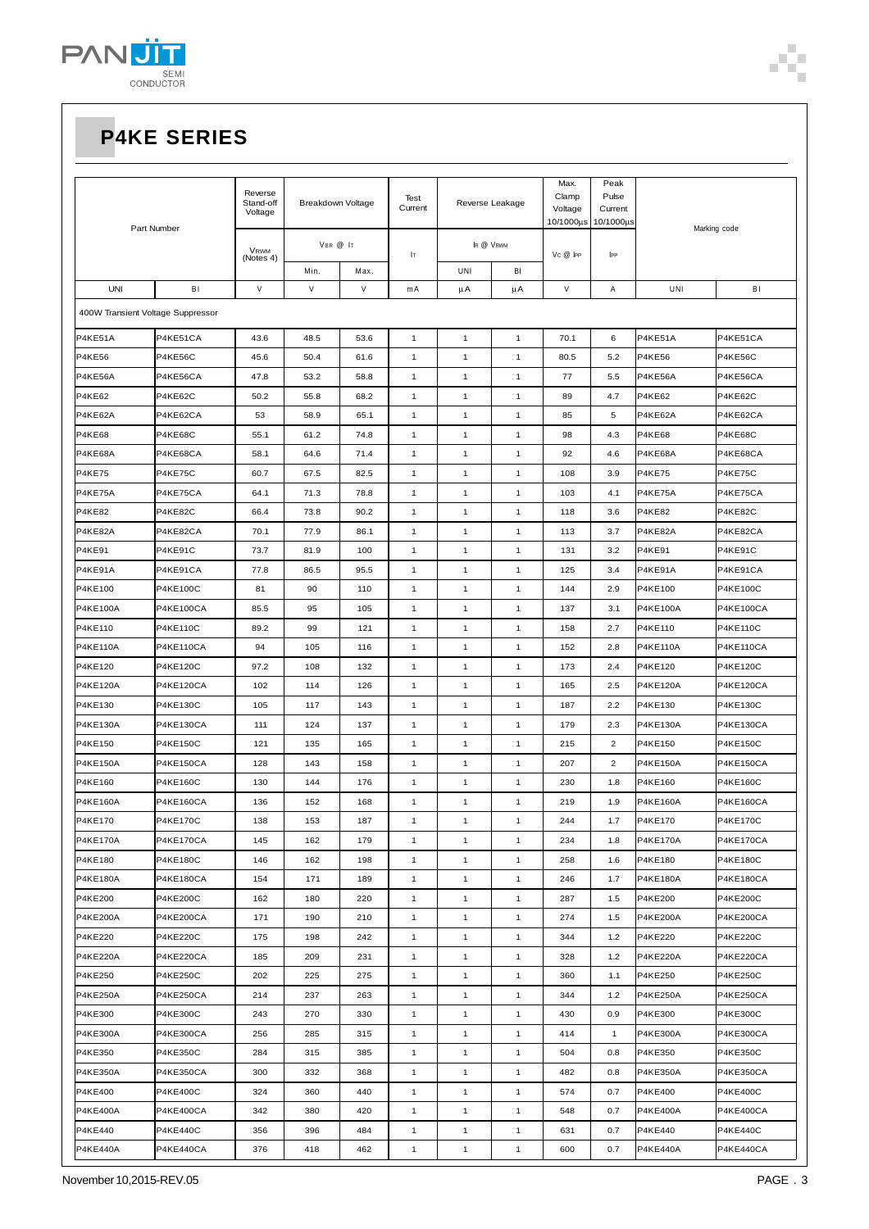

| Part Number                       |                  | Reverse<br>Stand-off<br>Voltage | Breakdown Voltage |      | Test<br>Current | Reverse Leakage |              | Max.<br>Clamp<br>Voltage   | Peak<br>Pulse<br>Current |                 |                  |
|-----------------------------------|------------------|---------------------------------|-------------------|------|-----------------|-----------------|--------------|----------------------------|--------------------------|-----------------|------------------|
|                                   |                  | VRWM<br>(Notes 4)               | VBR @ IT          |      | łт              | IR @ VRWM       |              | 10/1000µs<br>$V_C @$ $ PP$ | 10/1000µs<br>IPP         | Marking code    |                  |
|                                   |                  |                                 | Min.              | Max. |                 | UNI             | BI           |                            |                          |                 |                  |
| <b>UNI</b>                        | BI               | V                               | $\vee$            | V    | mA              | μA              | μA           | $\mathsf{V}$               | Α                        | UNI             | BI               |
| 400W Transient Voltage Suppressor |                  |                                 |                   |      |                 |                 |              |                            |                          |                 |                  |
| P4KE51A                           | P4KE51CA         | 43.6                            | 48.5              | 53.6 | $\mathbf{1}$    | 1               | $\mathbf{1}$ | 70.1                       | 6                        | P4KE51A         | P4KE51CA         |
| <b>P4KE56</b>                     | <b>P4KE56C</b>   | 45.6                            | 50.4              | 61.6 | 1               | $\mathbf{1}$    | $\mathbf{1}$ | 80.5                       | 5.2                      | <b>P4KE56</b>   | P4KE56C          |
| P4KE56A                           | P4KE56CA         | 47.8                            | 53.2              | 58.8 | 1               | 1               | $\mathbf{1}$ | 77                         | 5.5                      | P4KE56A         | P4KE56CA         |
| <b>P4KE62</b>                     | P4KE62C          | 50.2                            | 55.8              | 68.2 | $\mathbf{1}$    | $\mathbf{1}$    | $\mathbf{1}$ | 89                         | 4.7                      | <b>P4KE62</b>   | P4KE62C          |
| P4KE62A                           | P4KE62CA         | 53                              | 58.9              | 65.1 | $\mathbf{1}$    | $\mathbf{1}$    | $\mathbf{1}$ | 85                         | 5                        | P4KE62A         | P4KE62CA         |
| <b>P4KE68</b>                     | P4KE68C          | 55.1                            | 61.2              | 74.8 | $\mathbf{1}$    | $\mathbf{1}$    | $\mathbf{1}$ | 98                         | 4.3                      | P4KE68          | P4KE68C          |
| P4KE68A                           | P4KE68CA         | 58.1                            | 64.6              | 71.4 | $\mathbf{1}$    | $\mathbf{1}$    | $\mathbf{1}$ | 92                         | 4.6                      | P4KE68A         | P4KE68CA         |
| <b>P4KE75</b>                     | P4KE75C          | 60.7                            | 67.5              | 82.5 | $\mathbf{1}$    | 1               | $\mathbf{1}$ | 108                        | 3.9                      | <b>P4KE75</b>   | P4KE75C          |
| P4KE75A                           | P4KE75CA         | 64.1                            | 71.3              | 78.8 | $\mathbf{1}$    | 1               | $\mathbf{1}$ | 103                        | 4.1                      | P4KE75A         | P4KE75CA         |
| <b>P4KE82</b>                     | P4KE82C          | 66.4                            | 73.8              | 90.2 | $\mathbf{1}$    | 1               | $\mathbf{1}$ | 118                        | 3.6                      | <b>P4KE82</b>   | P4KE82C          |
| P4KE82A                           | P4KE82CA         | 70.1                            | 77.9              | 86.1 | $\mathbf{1}$    | 1               | $\mathbf{1}$ | 113                        | 3.7                      | P4KE82A         | P4KE82CA         |
| <b>P4KE91</b>                     | P4KE91C          | 73.7                            | 81.9              | 100  | $\mathbf{1}$    | $\mathbf{1}$    | $\mathbf{1}$ | 131                        | 3.2                      | P4KE91          | P4KE91C          |
| P4KE91A                           | P4KE91CA         | 77.8                            | 86.5              | 95.5 | $\mathbf{1}$    | $\mathbf{1}$    | $\mathbf{1}$ | 125                        | 3.4                      | P4KE91A         | P4KE91CA         |
| P4KE100                           | <b>P4KE100C</b>  | 81                              | 90                | 110  | $\mathbf{1}$    | 1               | $\mathbf{1}$ | 144                        | 2.9                      | P4KE100         | <b>P4KE100C</b>  |
| <b>P4KE100A</b>                   | <b>P4KE100CA</b> | 85.5                            | 95                | 105  | 1               | $\mathbf{1}$    | $\mathbf{1}$ | 137                        | 3.1                      | <b>P4KE100A</b> | <b>P4KE100CA</b> |
| P4KE110                           | <b>P4KE110C</b>  | 89.2                            | 99                | 121  | $\mathbf{1}$    | $\mathbf{1}$    | $\mathbf{1}$ | 158                        | 2.7                      | P4KE110         | P4KE110C         |
| <b>P4KE110A</b>                   | P4KE110CA        | 94                              | 105               | 116  | $\mathbf{1}$    | $\mathbf{1}$    | $\mathbf{1}$ | 152                        | 2.8                      | P4KE110A        | <b>P4KE110CA</b> |
| P4KE120                           | <b>P4KE120C</b>  | 97.2                            | 108               | 132  | $\mathbf{1}$    | 1               | $\mathbf{1}$ | 173                        | 2.4                      | P4KE120         | <b>P4KE120C</b>  |
| <b>P4KE120A</b>                   | P4KE120CA        | 102                             | 114               | 126  | $\mathbf{1}$    | 1               | $\mathbf{1}$ | 165                        | 2.5                      | <b>P4KE120A</b> | <b>P4KE120CA</b> |
| P4KE130                           | <b>P4KE130C</b>  | 105                             | 117               | 143  | 1               | 1               | 1            | 187                        | 2.2                      | P4KE130         | <b>P4KE130C</b>  |
| P4KE130A                          | <b>P4KE130CA</b> | 111                             | 124               | 137  | $\mathbf{1}$    | $\mathbf{1}$    | $\mathbf{1}$ | 179                        | 2.3                      | P4KE130A        | P4KE130CA        |
| P4KE150                           | <b>P4KE150C</b>  | 121                             | 135               | 165  | $\mathbf{1}$    | $\mathbf{1}$    | $\mathbf{1}$ | 215                        | $\overline{2}$           | P4KE150         | <b>P4KE150C</b>  |
| <b>P4KE150A</b>                   | <b>P4KE150CA</b> | 128                             | 143               | 158  | $\mathbf{1}$    | $\mathbf{1}$    | $\mathbf{1}$ | 207                        | $\overline{2}$           | P4KE150A        | <b>P4KE150CA</b> |
| P4KE160                           | <b>P4KE160C</b>  | 130                             | 144               | 176  | $\mathbf{1}$    | $\mathbf{1}$    | $\mathbf{1}$ | 230                        | $1.8$                    | P4KE160         | <b>P4KE160C</b>  |
| <b>P4KE160A</b>                   | <b>P4KE160CA</b> | 136                             | 152               | 168  | 1               | 1               | $\mathbf{1}$ | 219                        | 1.9                      | <b>P4KE160A</b> | <b>P4KE160CA</b> |
| P4KE170                           | P4KE170C         | 138                             | 153               | 187  | 1               | 1               | $\mathbf{1}$ | 244                        | 1.7                      | P4KE170         | P4KE170C         |
| <b>P4KE170A</b>                   | P4KE170CA        | 145                             | 162               | 179  | $\mathbf{1}$    | $\mathbf{1}$    | $\mathbf{1}$ | 234                        | 1.8                      | <b>P4KE170A</b> | <b>P4KE170CA</b> |
| P4KE180                           | <b>P4KE180C</b>  | 146                             | 162               | 198  | $\mathbf{1}$    | $\mathbf{1}$    | $\mathbf{1}$ | 258                        | 1.6                      | P4KE180         | <b>P4KE180C</b>  |
| <b>P4KE180A</b>                   | <b>P4KE180CA</b> | 154                             | 171               | 189  | $\mathbf{1}$    | $\mathbf{1}$    | $\mathbf{1}$ | 246                        | 1.7                      | <b>P4KE180A</b> | <b>P4KE180CA</b> |
| P4KE200                           | <b>P4KE200C</b>  | 162                             | 180               | 220  | $\mathbf{1}$    | $\mathbf{1}$    | $\mathbf{1}$ | 287                        | 1.5                      | P4KE200         | <b>P4KE200C</b>  |
| <b>P4KE200A</b>                   | P4KE200CA        | 171                             | 190               | 210  | $\mathbf{1}$    | $\mathbf{1}$    | $\mathbf{1}$ | 274                        | 1.5                      | <b>P4KE200A</b> | <b>P4KE200CA</b> |
| <b>P4KE220</b>                    | <b>P4KE220C</b>  | 175                             | 198               | 242  | $\mathbf{1}$    | $\mathbf{1}$    | $\mathbf{1}$ | 344                        | $1.2$                    | P4KE220         | <b>P4KE220C</b>  |
| <b>P4KE220A</b>                   | P4KE220CA        | 185                             | 209               | 231  | $\mathbf{1}$    | $\mathbf{1}$    | $\mathbf{1}$ | 328                        | 1.2                      | <b>P4KE220A</b> | P4KE220CA        |
| <b>P4KE250</b>                    | <b>P4KE250C</b>  | 202                             | 225               | 275  | $\mathbf{1}$    | $\mathbf{1}$    | $\mathbf{1}$ | 360                        | 1.1                      | P4KE250         | <b>P4KE250C</b>  |
| <b>P4KE250A</b>                   | P4KE250CA        | 214                             | 237               | 263  | $\mathbf{1}$    | 1               | $\mathbf{1}$ | 344                        | $1.2$                    | <b>P4KE250A</b> | <b>P4KE250CA</b> |
| P4KE300                           | P4KE300C         | 243                             | 270               | 330  | $\mathbf{1}$    | $\mathbf{1}$    | $\mathbf{1}$ | 430                        | 0.9                      | P4KE300         | <b>P4KE300C</b>  |
| P4KE300A                          | <b>P4KE300CA</b> | 256                             | 285               | 315  | $\mathbf{1}$    | $\mathbf{1}$    | $\mathbf{1}$ | 414                        | $\mathbf{1}$             | <b>P4KE300A</b> | <b>P4KE300CA</b> |
| P4KE350                           | P4KE350C         | 284                             | 315               | 385  | $\mathbf{1}$    | $\mathbf{1}$    | $\mathbf{1}$ | 504                        | 0.8                      | P4KE350         | <b>P4KE350C</b>  |
| <b>P4KE350A</b>                   | <b>P4KE350CA</b> | 300                             | 332               | 368  | $\mathbf{1}$    | $\mathbf{1}$    | $\mathbf{1}$ | 482                        | 0.8                      | <b>P4KE350A</b> | <b>P4KE350CA</b> |
| <b>P4KE400</b>                    | <b>P4KE400C</b>  | 324                             | 360               | 440  | $\mathbf{1}$    | $\mathbf{1}$    | $\mathbf{1}$ | 574                        | 0.7                      | P4KE400         | <b>P4KE400C</b>  |
| <b>P4KE400A</b>                   | P4KE400CA        | 342                             | 380               | 420  | $\mathbf{1}$    | $\mathbf{1}$    | $\mathbf{1}$ | 548                        | 0.7                      | <b>P4KE400A</b> | P4KE400CA        |
| <b>P4KE440</b>                    | <b>P4KE440C</b>  | 356                             | 396               | 484  | $\mathbf{1}$    | $\mathbf{1}$    | $\mathbf{1}$ | 631                        | 0.7                      | P4KE440         | <b>P4KE440C</b>  |
| <b>P4KE440A</b>                   | P4KE440CA        | 376                             | 418               | 462  | $\mathbf{1}$    | $\mathbf{1}$    | $\mathbf{1}$ | 600                        | 0.7                      | <b>P4KE440A</b> | P4KE440CA        |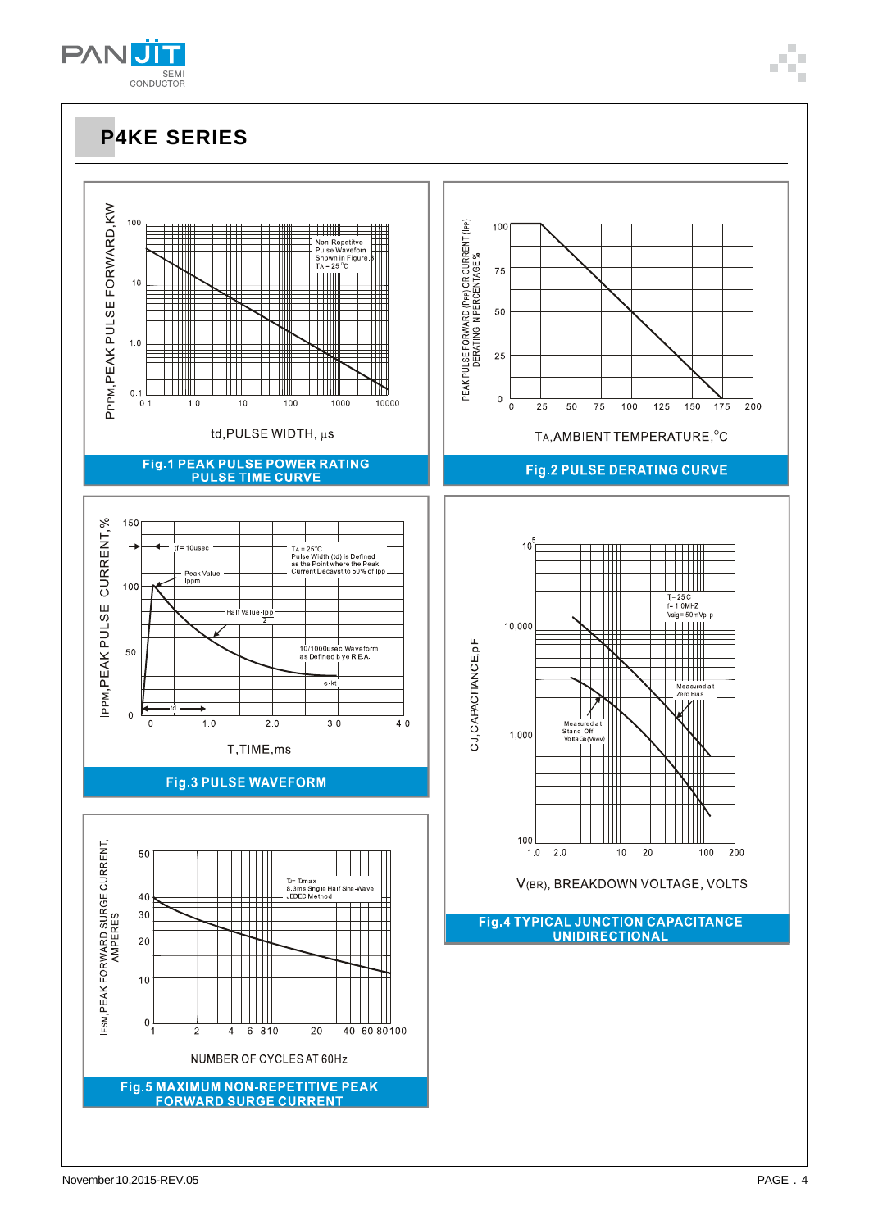$0\frac{1}{1}$ 

 $\overline{2}$ 

 $\overline{4}$ 

6 8 1 0

Fig.5 MAXIMUM NON-REPETITIVE PEAK **FORWARD SURGE CURRENT** 

NUMBER OF CYCLES AT 60Hz

20

40 60 80 100







 $\frac{1}{100}$ 

 $\frac{1}{125}$ 

 $\frac{1}{150}$  $175$ 

 $\mathbb{H} \mathbb{H}$ 

 $Tj = 25 C$ <br>f= 1.0MHZ<br>Vsig = 50mVp-p

 $\begin{array}{c}\n\text{Vsig} = 50 \text{mVp} \\
\hline\n\end{array}$ 

 $20$ 

 $10$ 

Measured at<br>Zero Bias

 $200$ 

100

 $\overline{200}$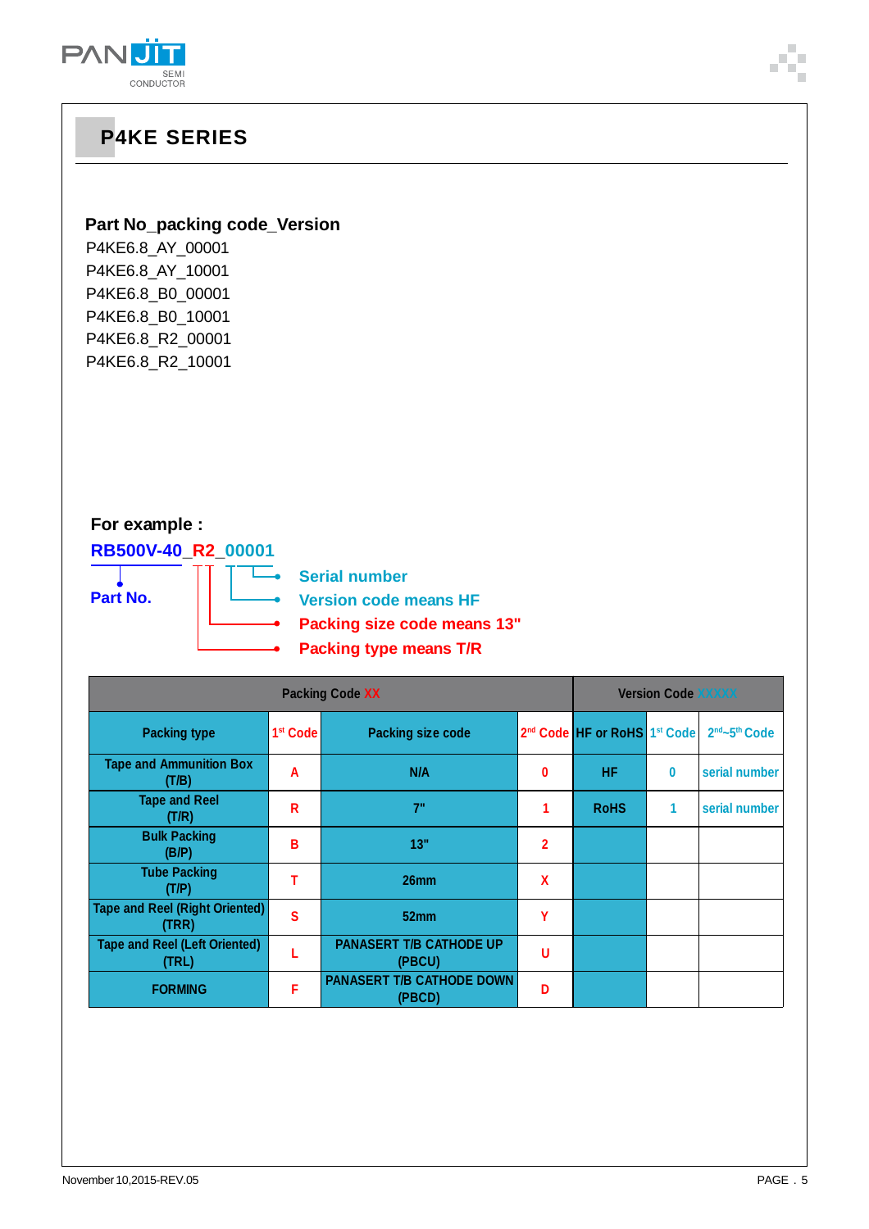

### **Part No\_packing code\_Version**

т

P4KE6.8\_AY\_00001 P4KE6.8\_AY\_10001 P4KE6.8\_B0\_00001 P4KE6.8\_B0\_10001 P4KE6.8\_R2\_00001 P4KE6.8\_R2\_10001

### **For example :**

**RB500V-40\_R2\_00001 Part No.**

**Serial number**  $\overline{\phantom{a}}$ **Version code means HF Packing size code means 13"**

**Packing type means T/R**

|                                                | <b>Version Code XXXXX</b> |                                            |              |                                                      |          |               |
|------------------------------------------------|---------------------------|--------------------------------------------|--------------|------------------------------------------------------|----------|---------------|
| <b>Packing type</b>                            | 1 <sup>st</sup> Code      | <b>Packing size code</b>                   |              | 2 <sup>nd</sup> Code HF or RoHS 1 <sup>st</sup> Code |          | 2nd~5th Code  |
| <b>Tape and Ammunition Box</b><br>(T/B)        | A                         | N/A                                        | 0            | <b>HF</b>                                            | $\bf{0}$ | serial number |
| <b>Tape and Reel</b><br>(T/R)                  | R                         | 7"                                         |              | <b>RoHS</b>                                          | 1        | serial number |
| <b>Bulk Packing</b><br>(B/P)                   | в                         | 13"                                        | $\mathbf{2}$ |                                                      |          |               |
| <b>Tube Packing</b><br>(T/P)                   |                           | 26 <sub>mm</sub>                           | X            |                                                      |          |               |
| <b>Tape and Reel (Right Oriented)</b><br>(TRR) | S                         | 52mm                                       | Υ            |                                                      |          |               |
| <b>Tape and Reel (Left Oriented)</b><br>(TRL)  |                           | <b>PANASERT T/B CATHODE UP</b><br>(PBCU)   | U            |                                                      |          |               |
| <b>FORMING</b>                                 | F                         | <b>PANASERT T/B CATHODE DOWN</b><br>(PBCD) | Đ            |                                                      |          |               |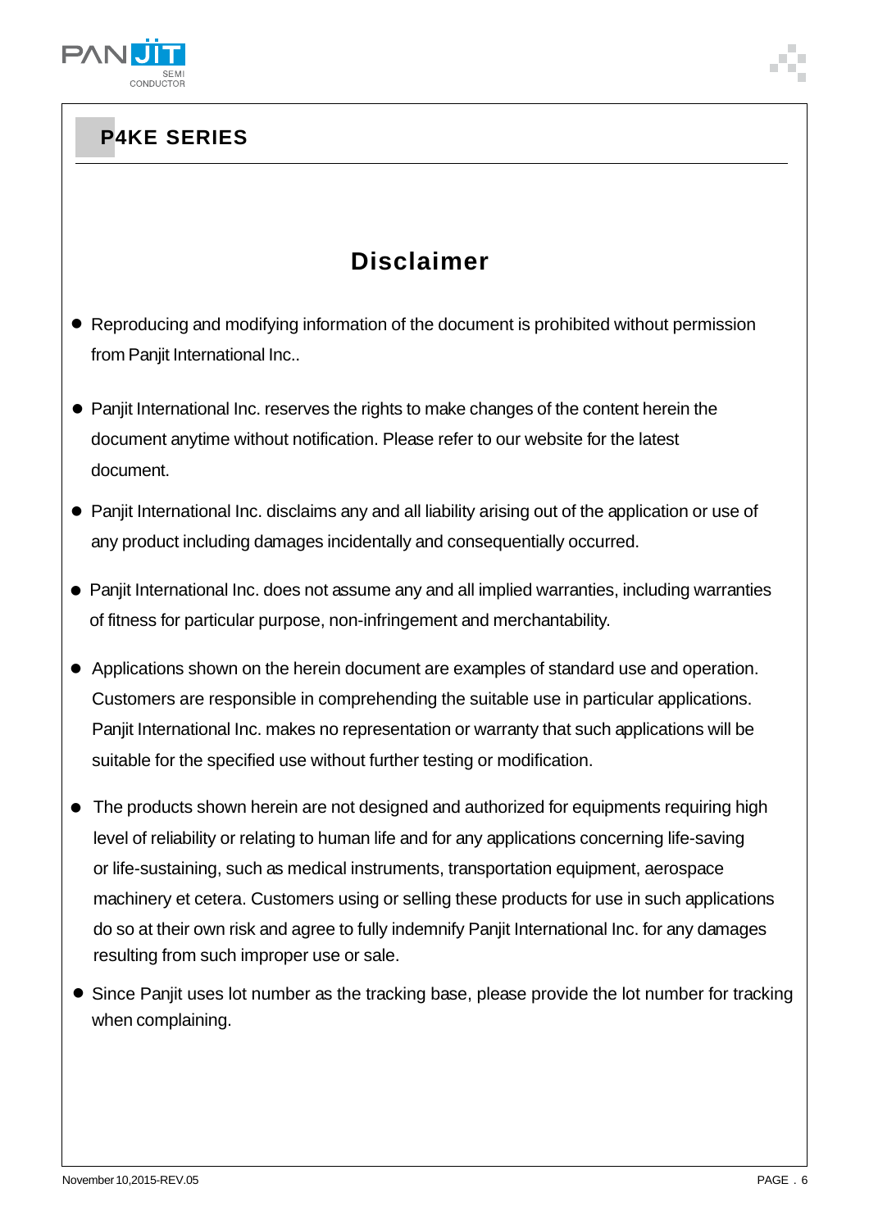

# **Disclaimer**

- Reproducing and modifying information of the document is prohibited without permission from Panjit International Inc..
- Panjit International Inc. reserves the rights to make changes of the content herein the document anytime without notification. Please refer to our website for the latest document.
- Panjit International Inc. disclaims any and all liability arising out of the application or use of any product including damages incidentally and consequentially occurred.
- Panjit International Inc. does not assume any and all implied warranties, including warranties of fitness for particular purpose, non-infringement and merchantability.
- Applications shown on the herein document are examples of standard use and operation. Customers are responsible in comprehending the suitable use in particular applications. Panjit International Inc. makes no representation or warranty that such applications will be suitable for the specified use without further testing or modification.
- The products shown herein are not designed and authorized for equipments requiring high level of reliability or relating to human life and for any applications concerning life-saving or life-sustaining, such as medical instruments, transportation equipment, aerospace machinery et cetera. Customers using or selling these products for use in such applications do so at their own risk and agree to fully indemnify Panjit International Inc. for any damages resulting from such improper use or sale.
- Since Panjit uses lot number as the tracking base, please provide the lot number for tracking when complaining.